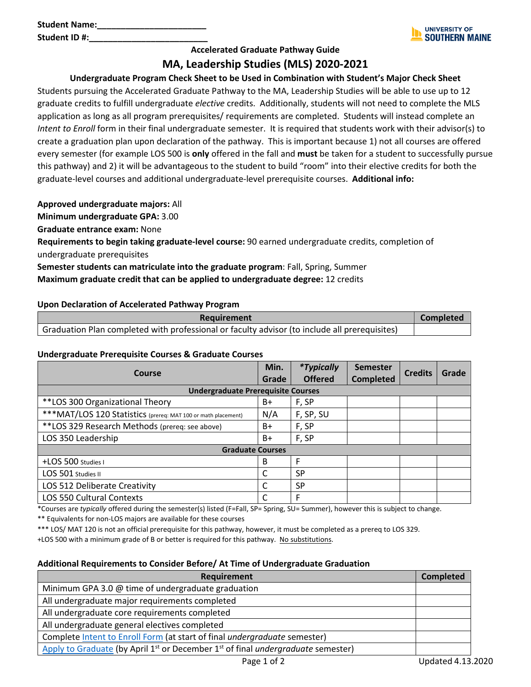

## **Accelerated Graduate Pathway Guide**

# **MA, Leadership Studies (MLS) 2020-2021**

## **Undergraduate Program Check Sheet to be Used in Combination with Student's Major Check Sheet**

Students pursuing the Accelerated Graduate Pathway to the MA, Leadership Studies will be able to use up to 12 graduate credits to fulfill undergraduate *elective* credits. Additionally, students will not need to complete the MLS application as long as all program prerequisites/ requirements are completed. Students will instead complete an *Intent to Enroll* form in their final undergraduate semester. It is required that students work with their advisor(s) to create a graduation plan upon declaration of the pathway. This is important because 1) not all courses are offered every semester (for example LOS 500 is **only** offered in the fall and **must** be taken for a student to successfully pursue this pathway) and 2) it will be advantageous to the student to build "room" into their elective credits for both the graduate-level courses and additional undergraduate-level prerequisite courses. **Additional info:**

**Approved undergraduate majors:** All

**Minimum undergraduate GPA:** 3.00

**Graduate entrance exam:** None

**Requirements to begin taking graduate-level course:** 90 earned undergraduate credits, completion of undergraduate prerequisites

**Semester students can matriculate into the graduate program**: Fall, Spring, Summer **Maximum graduate credit that can be applied to undergraduate degree:** 12 credits

### **Upon Declaration of Accelerated Pathway Program**

| Requirement                                                                                   | Completed |
|-----------------------------------------------------------------------------------------------|-----------|
| Graduation Plan completed with professional or faculty advisor (to include all prerequisites) |           |

#### **Undergraduate Prerequisite Courses & Graduate Courses**

| Course                                                         | Min.  | <i>*Typically</i> | <b>Semester</b>  | <b>Credits</b> | Grade |
|----------------------------------------------------------------|-------|-------------------|------------------|----------------|-------|
|                                                                | Grade | <b>Offered</b>    | <b>Completed</b> |                |       |
| <b>Undergraduate Prerequisite Courses</b>                      |       |                   |                  |                |       |
| **LOS 300 Organizational Theory                                | B+    | F, SP             |                  |                |       |
| *** MAT/LOS 120 Statistics (prereq: MAT 100 or math placement) | N/A   | F, SP, SU         |                  |                |       |
| **LOS 329 Research Methods (prereq: see above)                 | $B+$  | F, SP             |                  |                |       |
| LOS 350 Leadership                                             | $B+$  | F, SP             |                  |                |       |
| <b>Graduate Courses</b>                                        |       |                   |                  |                |       |
| +LOS 500 Studies I                                             | В     | F                 |                  |                |       |
| LOS 501 Studies II                                             | C     | <b>SP</b>         |                  |                |       |
| LOS 512 Deliberate Creativity                                  | C     | <b>SP</b>         |                  |                |       |
| LOS 550 Cultural Contexts                                      | C     | F                 |                  |                |       |

\*Courses are *typically* offered during the semester(s) listed (F=Fall, SP= Spring, SU= Summer), however this is subject to change.

\*\* Equivalents for non-LOS majors are available for these courses

\*\*\* LOS/ MAT 120 is not an official prerequisite for this pathway, however, it must be completed as a prereq to LOS 329.

+LOS 500 with a minimum grade of B or better is required for this pathway. No substitutions.

#### **Additional Requirements to Consider Before/ At Time of Undergraduate Graduation**

| <b>Requirement</b>                                                                          | <b>Completed</b> |
|---------------------------------------------------------------------------------------------|------------------|
| Minimum GPA 3.0 @ time of undergraduate graduation                                          |                  |
| All undergraduate major requirements completed                                              |                  |
| All undergraduate core requirements completed                                               |                  |
| All undergraduate general electives completed                                               |                  |
| Complete Intent to Enroll Form (at start of final undergraduate semester)                   |                  |
| Apply to Graduate (by April $1st$ or December $1st$ of final <i>undergraduate</i> semester) |                  |